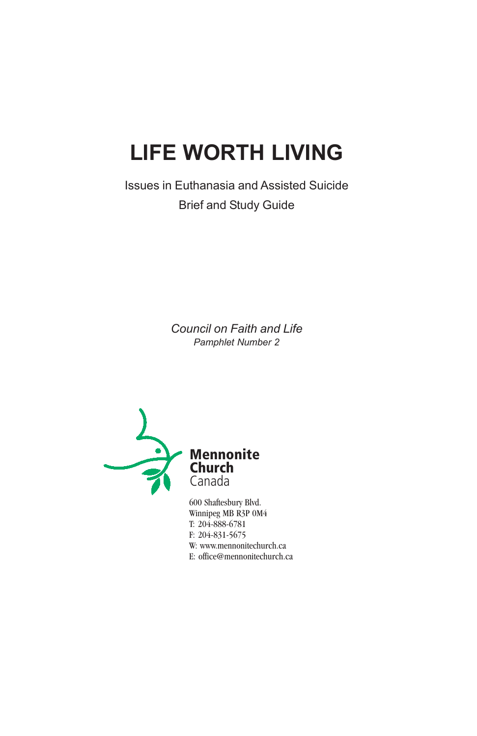# **LIFE WORTH LIVING**

Issues in Euthanasia and Assisted Suicide Brief and Study Guide

> *Council on Faith and Life Pamphlet Number 2*



600 Shaftesbury Blvd. Winnipeg MB R3P 0M4 T: 204-888-6781 F: 204-831-5675 W: www.mennonitechurch.ca E: office@mennonitechurch.ca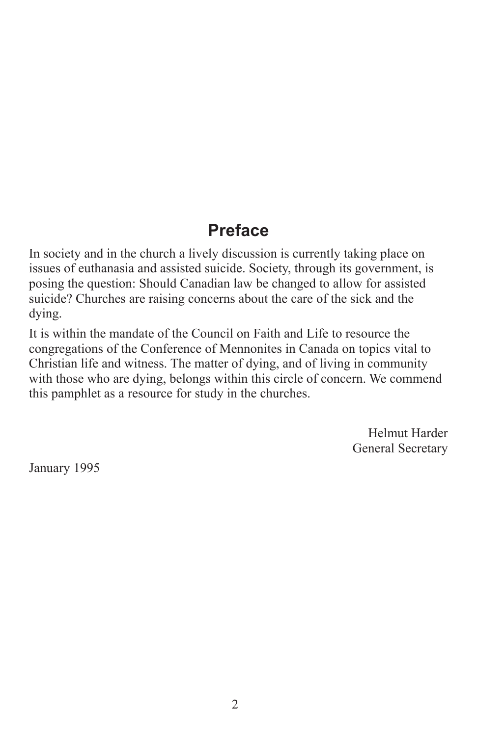# **Preface**

In society and in the church a lively discussion is currently taking place on issues of euthanasia and assisted suicide. Society, through its government, is posing the question: Should Canadian law be changed to allow for assisted suicide? Churches are raising concerns about the care of the sick and the dying.

It is within the mandate of the Council on Faith and Life to resource the congregations of the Conference of Mennonites in Canada on topics vital to Christian life and witness. The matter of dying, and of living in community with those who are dying, belongs within this circle of concern. We commend this pamphlet as a resource for study in the churches.

> Helmut Harder General Secretary

January 1995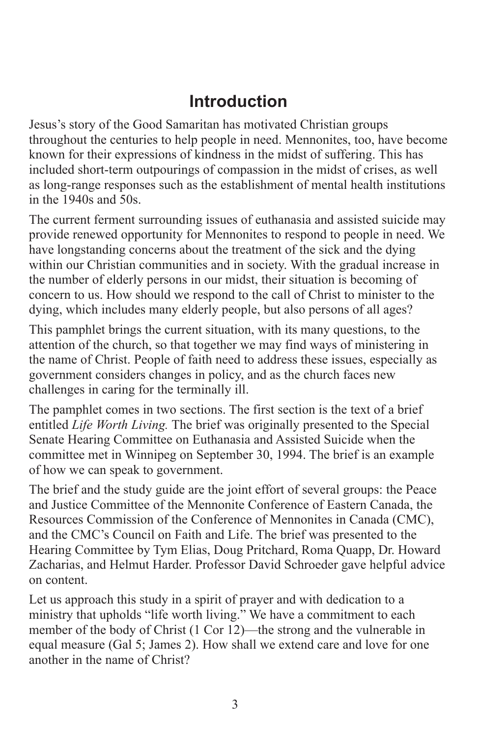# **Introduction**

Jesus's story of the Good Samaritan has motivated Christian groups throughout the centuries to help people in need. Mennonites, too, have become known for their expressions of kindness in the midst of suffering. This has included short-term outpourings of compassion in the midst of crises, as well as long-range responses such as the establishment of mental health institutions in the 1940s and 50s.

The current ferment surrounding issues of euthanasia and assisted suicide may provide renewed opportunity for Mennonites to respond to people in need. We have longstanding concerns about the treatment of the sick and the dying within our Christian communities and in society. With the gradual increase in the number of elderly persons in our midst, their situation is becoming of concern to us. How should we respond to the call of Christ to minister to the dying, which includes many elderly people, but also persons of all ages?

This pamphlet brings the current situation, with its many questions, to the attention of the church, so that together we may find ways of ministering in the name of Christ. People of faith need to address these issues, especially as government considers changes in policy, and as the church faces new challenges in caring for the terminally ill.

The pamphlet comes in two sections. The first section is the text of a brief entitled *Life Worth Living.* The brief was originally presented to the Special Senate Hearing Committee on Euthanasia and Assisted Suicide when the committee met in Winnipeg on September 30, 1994. The brief is an example of how we can speak to government.

The brief and the study guide are the joint effort of several groups: the Peace and Justice Committee of the Mennonite Conference of Eastern Canada, the Resources Commission of the Conference of Mennonites in Canada (CMC), and the CMC's Council on Faith and Life. The brief was presented to the Hearing Committee by Tym Elias, Doug Pritchard, Roma Quapp, Dr. Howard Zacharias, and Helmut Harder. Professor David Schroeder gave helpful advice on content.

Let us approach this study in a spirit of prayer and with dedication to a ministry that upholds "life worth living." We have a commitment to each member of the body of Christ (1 Cor 12)—the strong and the vulnerable in equal measure (Gal 5; James 2). How shall we extend care and love for one another in the name of Christ?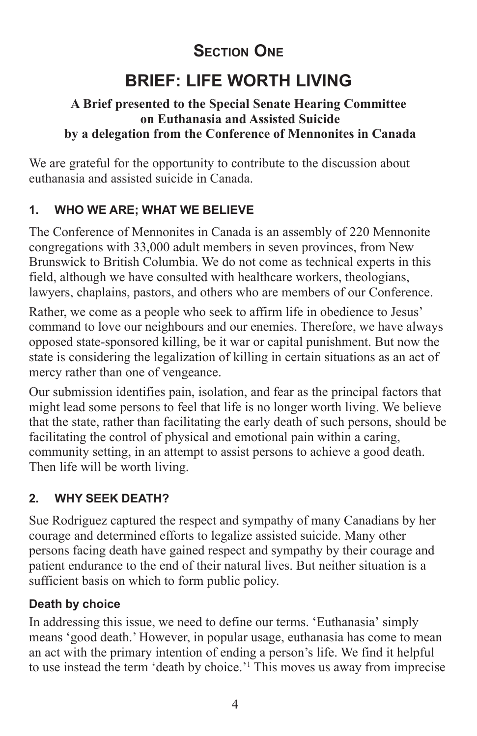# **SECTION ONE**

# **BRIEF: LIFE WORTH LIVING**

### **A Brief presented to the Special Senate Hearing Committee on Euthanasia and Assisted Suicide by a delegation from the Conference of Mennonites in Canada**

We are grateful for the opportunity to contribute to the discussion about euthanasia and assisted suicide in Canada.

### **1. WHO WE ARE; WHAT WE BELIEVE**

The Conference of Mennonites in Canada is an assembly of 220 Mennonite congregations with 33,000 adult members in seven provinces, from New Brunswick to British Columbia. We do not come as technical experts in this field, although we have consulted with healthcare workers, theologians, lawyers, chaplains, pastors, and others who are members of our Conference.

Rather, we come as a people who seek to affirm life in obedience to Jesus' command to love our neighbours and our enemies. Therefore, we have always opposed state-sponsored killing, be it war or capital punishment. But now the state is considering the legalization of killing in certain situations as an act of mercy rather than one of vengeance.

Our submission identifies pain, isolation, and fear as the principal factors that might lead some persons to feel that life is no longer worth living. We believe that the state, rather than facilitating the early death of such persons, should be facilitating the control of physical and emotional pain within a caring, community setting, in an attempt to assist persons to achieve a good death. Then life will be worth living.

### **2. WHY SEEK DEATH?**

Sue Rodriguez captured the respect and sympathy of many Canadians by her courage and determined efforts to legalize assisted suicide. Many other persons facing death have gained respect and sympathy by their courage and patient endurance to the end of their natural lives. But neither situation is a sufficient basis on which to form public policy.

### **Death by choice**

In addressing this issue, we need to define our terms. 'Euthanasia' simply means 'good death.' However, in popular usage, euthanasia has come to mean an act with the primary intention of ending a person's life. We find it helpful to use instead the term 'death by choice.'1 This moves us away from imprecise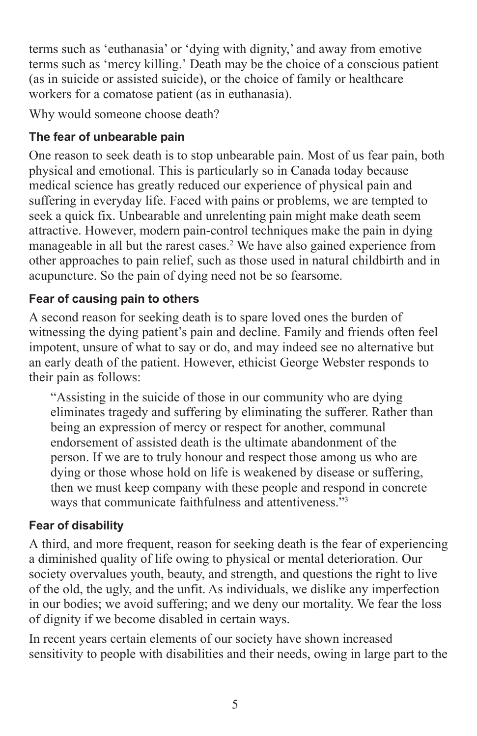terms such as 'euthanasia' or 'dying with dignity,' and away from emotive terms such as 'mercy killing.' Death may be the choice of a conscious patient (as in suicide or assisted suicide), or the choice of family or healthcare workers for a comatose patient (as in euthanasia).

Why would someone choose death?

### **The fear of unbearable pain**

One reason to seek death is to stop unbearable pain. Most of us fear pain, both physical and emotional. This is particularly so in Canada today because medical science has greatly reduced our experience of physical pain and suffering in everyday life. Faced with pains or problems, we are tempted to seek a quick fix. Unbearable and unrelenting pain might make death seem attractive. However, modern pain-control techniques make the pain in dying manageable in all but the rarest cases.<sup>2</sup> We have also gained experience from other approaches to pain relief, such as those used in natural childbirth and in acupuncture. So the pain of dying need not be so fearsome.

### **Fear of causing pain to others**

A second reason for seeking death is to spare loved ones the burden of witnessing the dying patient's pain and decline. Family and friends often feel impotent, unsure of what to say or do, and may indeed see no alternative but an early death of the patient. However, ethicist George Webster responds to their pain as follows:

"Assisting in the suicide of those in our community who are dying eliminates tragedy and suffering by eliminating the sufferer. Rather than being an expression of mercy or respect for another, communal endorsement of assisted death is the ultimate abandonment of the person. If we are to truly honour and respect those among us who are dying or those whose hold on life is weakened by disease or suffering, then we must keep company with these people and respond in concrete ways that communicate faithfulness and attentiveness."3

### **Fear of disability**

A third, and more frequent, reason for seeking death is the fear of experiencing a diminished quality of life owing to physical or mental deterioration. Our society overvalues youth, beauty, and strength, and questions the right to live of the old, the ugly, and the unfit. As individuals, we dislike any imperfection in our bodies; we avoid suffering; and we deny our mortality. We fear the loss of dignity if we become disabled in certain ways.

In recent years certain elements of our society have shown increased sensitivity to people with disabilities and their needs, owing in large part to the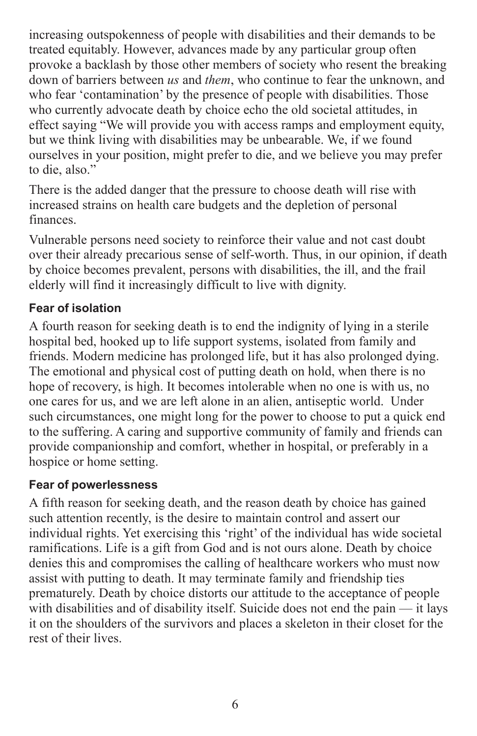increasing outspokenness of people with disabilities and their demands to be treated equitably. However, advances made by any particular group often provoke a backlash by those other members of society who resent the breaking down of barriers between *us* and *them*, who continue to fear the unknown, and who fear 'contamination' by the presence of people with disabilities. Those who currently advocate death by choice echo the old societal attitudes, in effect saying "We will provide you with access ramps and employment equity, but we think living with disabilities may be unbearable. We, if we found ourselves in your position, might prefer to die, and we believe you may prefer to die, also."

There is the added danger that the pressure to choose death will rise with increased strains on health care budgets and the depletion of personal finances.

Vulnerable persons need society to reinforce their value and not cast doubt over their already precarious sense of self-worth. Thus, in our opinion, if death by choice becomes prevalent, persons with disabilities, the ill, and the frail elderly will find it increasingly difficult to live with dignity.

### **Fear of isolation**

A fourth reason for seeking death is to end the indignity of lying in a sterile hospital bed, hooked up to life support systems, isolated from family and friends. Modern medicine has prolonged life, but it has also prolonged dying. The emotional and physical cost of putting death on hold, when there is no hope of recovery, is high. It becomes intolerable when no one is with us, no one cares for us, and we are left alone in an alien, antiseptic world. Under such circumstances, one might long for the power to choose to put a quick end to the suffering. A caring and supportive community of family and friends can provide companionship and comfort, whether in hospital, or preferably in a hospice or home setting.

### **Fear of powerlessness**

A fifth reason for seeking death, and the reason death by choice has gained such attention recently, is the desire to maintain control and assert our individual rights. Yet exercising this 'right' of the individual has wide societal ramifications. Life is a gift from God and is not ours alone. Death by choice denies this and compromises the calling of healthcare workers who must now assist with putting to death. It may terminate family and friendship ties prematurely. Death by choice distorts our attitude to the acceptance of people with disabilities and of disability itself. Suicide does not end the pain — it lays it on the shoulders of the survivors and places a skeleton in their closet for the rest of their lives.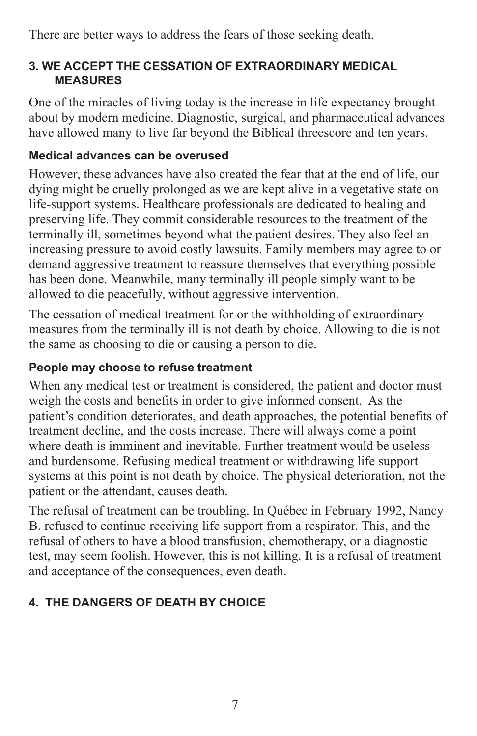There are better ways to address the fears of those seeking death.

### **3. WE ACCEPT THE CESSATION OF EXTRAORDINARY MEDICAL MEASURES**

One of the miracles of living today is the increase in life expectancy brought about by modern medicine. Diagnostic, surgical, and pharmaceutical advances have allowed many to live far beyond the Biblical threescore and ten years.

### **Medical advances can be overused**

However, these advances have also created the fear that at the end of life, our dying might be cruelly prolonged as we are kept alive in a vegetative state on life-support systems. Healthcare professionals are dedicated to healing and preserving life. They commit considerable resources to the treatment of the terminally ill, sometimes beyond what the patient desires. They also feel an increasing pressure to avoid costly lawsuits. Family members may agree to or demand aggressive treatment to reassure themselves that everything possible has been done. Meanwhile, many terminally ill people simply want to be allowed to die peacefully, without aggressive intervention.

The cessation of medical treatment for or the withholding of extraordinary measures from the terminally ill is not death by choice. Allowing to die is not the same as choosing to die or causing a person to die.

### **People may choose to refuse treatment**

When any medical test or treatment is considered, the patient and doctor must weigh the costs and benefits in order to give informed consent. As the patient's condition deteriorates, and death approaches, the potential benefits of treatment decline, and the costs increase. There will always come a point where death is imminent and inevitable. Further treatment would be useless and burdensome. Refusing medical treatment or withdrawing life support systems at this point is not death by choice. The physical deterioration, not the patient or the attendant, causes death.

The refusal of treatment can be troubling. In Québec in February 1992, Nancy B. refused to continue receiving life support from a respirator. This, and the refusal of others to have a blood transfusion, chemotherapy, or a diagnostic test, may seem foolish. However, this is not killing. It is a refusal of treatment and acceptance of the consequences, even death.

### **4. THE DANGERS OF DEATH BY CHOICE**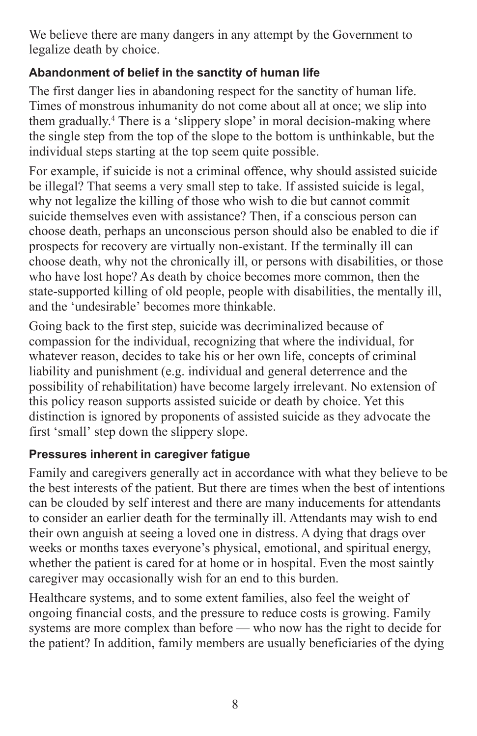We believe there are many dangers in any attempt by the Government to legalize death by choice.

### **Abandonment of belief in the sanctity of human life**

The first danger lies in abandoning respect for the sanctity of human life. Times of monstrous inhumanity do not come about all at once; we slip into them gradually.4 There is a 'slippery slope' in moral decision-making where the single step from the top of the slope to the bottom is unthinkable, but the individual steps starting at the top seem quite possible.

For example, if suicide is not a criminal offence, why should assisted suicide be illegal? That seems a very small step to take. If assisted suicide is legal, why not legalize the killing of those who wish to die but cannot commit suicide themselves even with assistance? Then, if a conscious person can choose death, perhaps an unconscious person should also be enabled to die if prospects for recovery are virtually non-existant. If the terminally ill can choose death, why not the chronically ill, or persons with disabilities, or those who have lost hope? As death by choice becomes more common, then the state-supported killing of old people, people with disabilities, the mentally ill, and the 'undesirable' becomes more thinkable.

Going back to the first step, suicide was decriminalized because of compassion for the individual, recognizing that where the individual, for whatever reason, decides to take his or her own life, concepts of criminal liability and punishment (e.g. individual and general deterrence and the possibility of rehabilitation) have become largely irrelevant. No extension of this policy reason supports assisted suicide or death by choice. Yet this distinction is ignored by proponents of assisted suicide as they advocate the first 'small' step down the slippery slope.

### **Pressures inherent in caregiver fatigue**

Family and caregivers generally act in accordance with what they believe to be the best interests of the patient. But there are times when the best of intentions can be clouded by self interest and there are many inducements for attendants to consider an earlier death for the terminally ill. Attendants may wish to end their own anguish at seeing a loved one in distress. A dying that drags over weeks or months taxes everyone's physical, emotional, and spiritual energy, whether the patient is cared for at home or in hospital. Even the most saintly caregiver may occasionally wish for an end to this burden.

Healthcare systems, and to some extent families, also feel the weight of ongoing financial costs, and the pressure to reduce costs is growing. Family systems are more complex than before — who now has the right to decide for the patient? In addition, family members are usually beneficiaries of the dying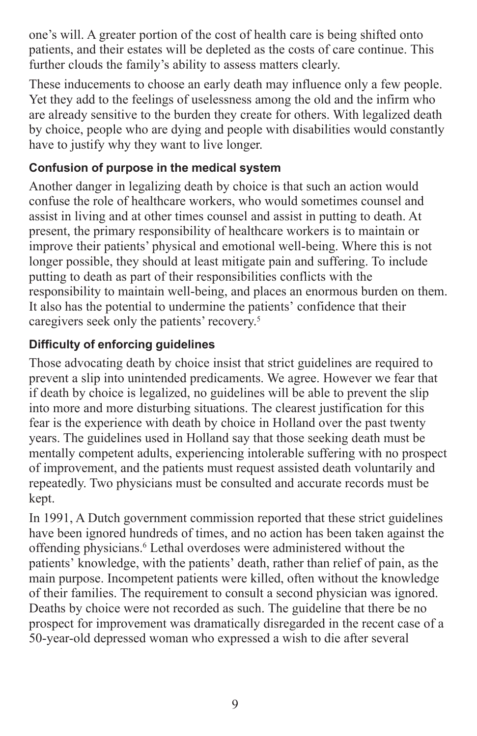one's will. A greater portion of the cost of health care is being shifted onto patients, and their estates will be depleted as the costs of care continue. This further clouds the family's ability to assess matters clearly.

These inducements to choose an early death may influence only a few people. Yet they add to the feelings of uselessness among the old and the infirm who are already sensitive to the burden they create for others. With legalized death by choice, people who are dying and people with disabilities would constantly have to justify why they want to live longer.

### **Confusion of purpose in the medical system**

Another danger in legalizing death by choice is that such an action would confuse the role of healthcare workers, who would sometimes counsel and assist in living and at other times counsel and assist in putting to death. At present, the primary responsibility of healthcare workers is to maintain or improve their patients' physical and emotional well-being. Where this is not longer possible, they should at least mitigate pain and suffering. To include putting to death as part of their responsibilities conflicts with the responsibility to maintain well-being, and places an enormous burden on them. It also has the potential to undermine the patients' confidence that their caregivers seek only the patients' recovery.5

### **Difficulty of enforcing guidelines**

Those advocating death by choice insist that strict guidelines are required to prevent a slip into unintended predicaments. We agree. However we fear that if death by choice is legalized, no guidelines will be able to prevent the slip into more and more disturbing situations. The clearest justification for this fear is the experience with death by choice in Holland over the past twenty years. The guidelines used in Holland say that those seeking death must be mentally competent adults, experiencing intolerable suffering with no prospect of improvement, and the patients must request assisted death voluntarily and repeatedly. Two physicians must be consulted and accurate records must be kept.

In 1991, A Dutch government commission reported that these strict guidelines have been ignored hundreds of times, and no action has been taken against the offending physicians.<sup>6</sup> Lethal overdoses were administered without the patients' knowledge, with the patients' death, rather than relief of pain, as the main purpose. Incompetent patients were killed, often without the knowledge of their families. The requirement to consult a second physician was ignored. Deaths by choice were not recorded as such. The guideline that there be no prospect for improvement was dramatically disregarded in the recent case of a 50-year-old depressed woman who expressed a wish to die after several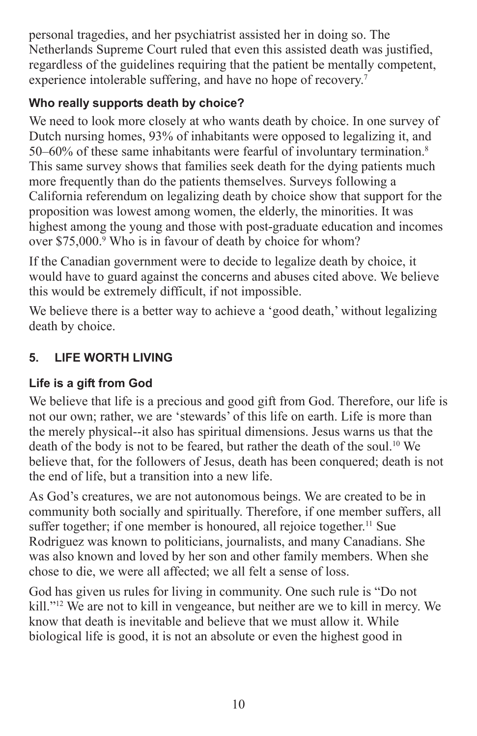personal tragedies, and her psychiatrist assisted her in doing so. The Netherlands Supreme Court ruled that even this assisted death was justified, regardless of the guidelines requiring that the patient be mentally competent, experience intolerable suffering, and have no hope of recovery.7

## **Who really supports death by choice?**

We need to look more closely at who wants death by choice. In one survey of Dutch nursing homes, 93% of inhabitants were opposed to legalizing it, and 50–60% of these same inhabitants were fearful of involuntary termination.8 This same survey shows that families seek death for the dying patients much more frequently than do the patients themselves. Surveys following a California referendum on legalizing death by choice show that support for the proposition was lowest among women, the elderly, the minorities. It was highest among the young and those with post-graduate education and incomes over \$75,000.<sup>9</sup> Who is in favour of death by choice for whom?

If the Canadian government were to decide to legalize death by choice, it would have to guard against the concerns and abuses cited above. We believe this would be extremely difficult, if not impossible.

We believe there is a better way to achieve a 'good death,' without legalizing death by choice.

## **5. LIFE WORTH LIVING**

## **Life is a gift from God**

We believe that life is a precious and good gift from God. Therefore, our life is not our own; rather, we are 'stewards' of this life on earth. Life is more than the merely physical--it also has spiritual dimensions. Jesus warns us that the death of the body is not to be feared, but rather the death of the soul.<sup>10</sup> We believe that, for the followers of Jesus, death has been conquered; death is not the end of life, but a transition into a new life.

As God's creatures, we are not autonomous beings. We are created to be in community both socially and spiritually. Therefore, if one member suffers, all suffer together; if one member is honoured, all rejoice together.<sup>11</sup> Sue Rodriguez was known to politicians, journalists, and many Canadians. She was also known and loved by her son and other family members. When she chose to die, we were all affected; we all felt a sense of loss.

God has given us rules for living in community. One such rule is "Do not kill."12 We are not to kill in vengeance, but neither are we to kill in mercy. We know that death is inevitable and believe that we must allow it. While biological life is good, it is not an absolute or even the highest good in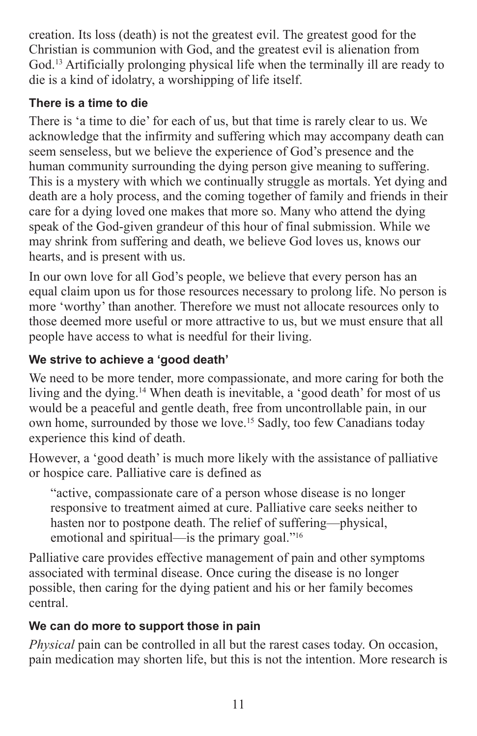creation. Its loss (death) is not the greatest evil. The greatest good for the Christian is communion with God, and the greatest evil is alienation from God.13 Artificially prolonging physical life when the terminally ill are ready to die is a kind of idolatry, a worshipping of life itself.

### **There is a time to die**

There is 'a time to die' for each of us, but that time is rarely clear to us. We acknowledge that the infirmity and suffering which may accompany death can seem senseless, but we believe the experience of God's presence and the human community surrounding the dying person give meaning to suffering. This is a mystery with which we continually struggle as mortals. Yet dying and death are a holy process, and the coming together of family and friends in their care for a dying loved one makes that more so. Many who attend the dying speak of the God-given grandeur of this hour of final submission. While we may shrink from suffering and death, we believe God loves us, knows our hearts, and is present with us.

In our own love for all God's people, we believe that every person has an equal claim upon us for those resources necessary to prolong life. No person is more 'worthy' than another. Therefore we must not allocate resources only to those deemed more useful or more attractive to us, but we must ensure that all people have access to what is needful for their living.

### **We strive to achieve a 'good death'**

We need to be more tender, more compassionate, and more caring for both the living and the dying.<sup>14</sup> When death is inevitable, a 'good death' for most of us would be a peaceful and gentle death, free from uncontrollable pain, in our own home, surrounded by those we love.15 Sadly, too few Canadians today experience this kind of death.

However, a 'good death' is much more likely with the assistance of palliative or hospice care. Palliative care is defined as

"active, compassionate care of a person whose disease is no longer responsive to treatment aimed at cure. Palliative care seeks neither to hasten nor to postpone death. The relief of suffering—physical, emotional and spiritual—is the primary goal."<sup>16</sup>

Palliative care provides effective management of pain and other symptoms associated with terminal disease. Once curing the disease is no longer possible, then caring for the dying patient and his or her family becomes central.

### **We can do more to support those in pain**

*Physical* pain can be controlled in all but the rarest cases today. On occasion, pain medication may shorten life, but this is not the intention. More research is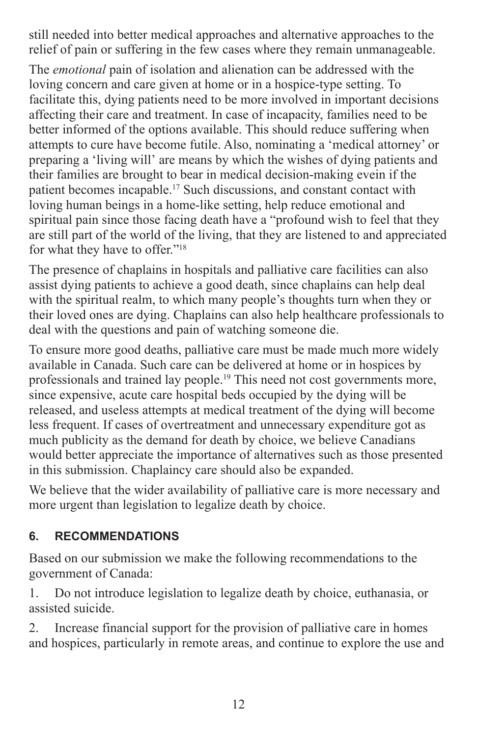still needed into better medical approaches and alternative approaches to the relief of pain or suffering in the few cases where they remain unmanageable.

The *emotional* pain of isolation and alienation can be addressed with the loving concern and care given at home or in a hospice-type setting. To facilitate this, dying patients need to be more involved in important decisions affecting their care and treatment. In case of incapacity, families need to be better informed of the options available. This should reduce suffering when attempts to cure have become futile. Also, nominating a 'medical attorney' or preparing a 'living will' are means by which the wishes of dying patients and their families are brought to bear in medical decision-making evein if the patient becomes incapable.17 Such discussions, and constant contact with loving human beings in a home-like setting, help reduce emotional and spiritual pain since those facing death have a "profound wish to feel that they are still part of the world of the living, that they are listened to and appreciated for what they have to offer."18

The presence of chaplains in hospitals and palliative care facilities can also assist dying patients to achieve a good death, since chaplains can help deal with the spiritual realm, to which many people's thoughts turn when they or their loved ones are dying. Chaplains can also help healthcare professionals to deal with the questions and pain of watching someone die.

To ensure more good deaths, palliative care must be made much more widely available in Canada. Such care can be delivered at home or in hospices by professionals and trained lay people.19 This need not cost governments more, since expensive, acute care hospital beds occupied by the dying will be released, and useless attempts at medical treatment of the dying will become less frequent. If cases of overtreatment and unnecessary expenditure got as much publicity as the demand for death by choice, we believe Canadians would better appreciate the importance of alternatives such as those presented in this submission. Chaplaincy care should also be expanded.

We believe that the wider availability of palliative care is more necessary and more urgent than legislation to legalize death by choice.

### **6. RECOMMENDATIONS**

Based on our submission we make the following recommendations to the government of Canada:

1. Do not introduce legislation to legalize death by choice, euthanasia, or assisted suicide.

2. Increase financial support for the provision of palliative care in homes and hospices, particularly in remote areas, and continue to explore the use and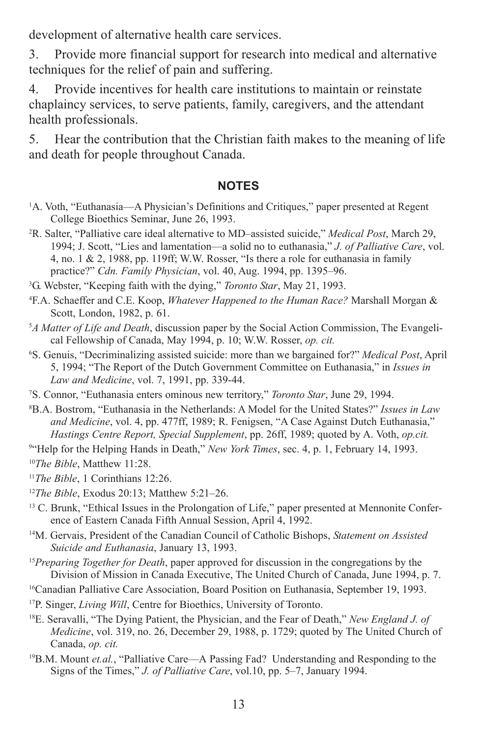development of alternative health care services.

3. Provide more financial support for research into medical and alternative techniques for the relief of pain and suffering.

4. Provide incentives for health care institutions to maintain or reinstate chaplaincy services, to serve patients, family, caregivers, and the attendant health professionals.

5. Hear the contribution that the Christian faith makes to the meaning of life and death for people throughout Canada.

#### **NOTES**

- <sup>1</sup>A. Voth, "Euthanasia—A Physician's Definitions and Critiques," paper presented at Regent College Bioethics Seminar, June 26, 1993.
- 2 R. Salter, "Palliative care ideal alternative to MD–assisted suicide," *Medical Post*, March 29, 1994; J. Scott, "Lies and lamentation—a solid no to euthanasia," *J. of Palliative Care*, vol. 4, no. 1 & 2, 1988, pp. 119ff; W.W. Rosser, "Is there a role for euthanasia in family practice?" *Cdn. Family Physician*, vol. 40, Aug. 1994, pp. 1395–96.
- 3 G. Webster, "Keeping faith with the dying," *Toronto Star*, May 21, 1993.
- 4 F.A. Schaeffer and C.E. Koop, *Whatever Happened to the Human Race?* Marshall Morgan & Scott, London, 1982, p. 61.
- 5 *A Matter of Life and Death*, discussion paper by the Social Action Commission, The Evangelical Fellowship of Canada, May 1994, p. 10; W.W. Rosser, *op. cit.*
- 6 S. Genuis, "Decriminalizing assisted suicide: more than we bargained for?" *Medical Post*, April 5, 1994; "The Report of the Dutch Government Committee on Euthanasia," in *Issues in Law and Medicine*, vol. 7, 1991, pp. 339-44.
- 7 S. Connor, "Euthanasia enters ominous new territory," *Toronto Star*, June 29, 1994.
- 8 B.A. Bostrom, "Euthanasia in the Netherlands: A Model for the United States?" *Issues in Law and Medicine*, vol. 4, pp. 477ff, 1989; R. Fenigsen, "A Case Against Dutch Euthanasia," *Hastings Centre Report, Special Supplement*, pp. 26ff, 1989; quoted by A. Voth, *op.cit.*

<sup>94</sup>Help for the Helping Hands in Death," *New York Times*, sec. 4, p. 1, February 14, 1993.

<sup>10</sup>*The Bible*, Matthew 11:28.

- <sup>11</sup>*The Bible*, 1 Corinthians 12:26.
- <sup>12</sup>*The Bible*, Exodus 20:13; Matthew 5:21–26.
- <sup>13</sup> C. Brunk, "Ethical Issues in the Prolongation of Life," paper presented at Mennonite Conference of Eastern Canada Fifth Annual Session, April 4, 1992.
- 14M. Gervais, President of the Canadian Council of Catholic Bishops, *Statement on Assisted Suicide and Euthanasia*, January 13, 1993.
- <sup>15</sup>*Preparing Together for Death*, paper approved for discussion in the congregations by the Division of Mission in Canada Executive, The United Church of Canada, June 1994, p. 7.
- 16Canadian Palliative Care Association, Board Position on Euthanasia, September 19, 1993.
- 17P. Singer, *Living Will*, Centre for Bioethics, University of Toronto.
- 18E. Seravalli, "The Dying Patient, the Physician, and the Fear of Death," *New England J. of Medicine*, vol. 319, no. 26, December 29, 1988, p. 1729; quoted by The United Church of Canada, *op. cit.*
- 19B.M. Mount *et.al.*, "Palliative Care—A Passing Fad? Understanding and Responding to the Signs of the Times," *J. of Palliative Care*, vol.10, pp. 5–7, January 1994.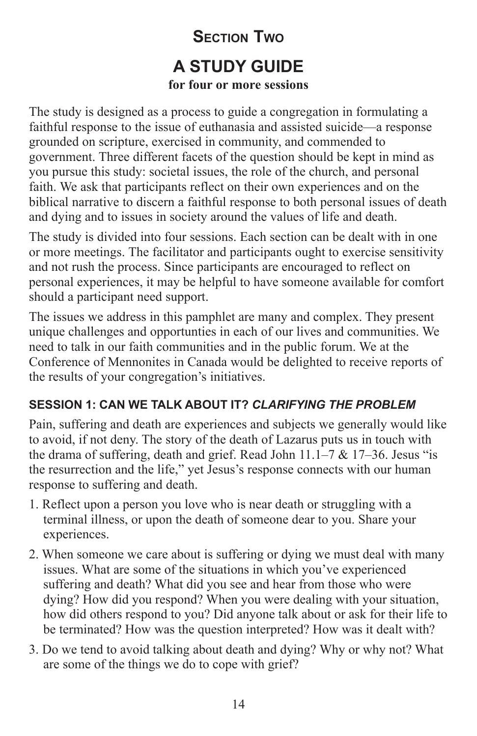# **SECTION TWO A STUDY GUIDE for four or more sessions**

The study is designed as a process to guide a congregation in formulating a faithful response to the issue of euthanasia and assisted suicide—a response grounded on scripture, exercised in community, and commended to government. Three different facets of the question should be kept in mind as you pursue this study: societal issues, the role of the church, and personal faith. We ask that participants reflect on their own experiences and on the biblical narrative to discern a faithful response to both personal issues of death and dying and to issues in society around the values of life and death.

The study is divided into four sessions. Each section can be dealt with in one or more meetings. The facilitator and participants ought to exercise sensitivity and not rush the process. Since participants are encouraged to reflect on personal experiences, it may be helpful to have someone available for comfort should a participant need support.

The issues we address in this pamphlet are many and complex. They present unique challenges and opportunties in each of our lives and communities. We need to talk in our faith communities and in the public forum. We at the Conference of Mennonites in Canada would be delighted to receive reports of the results of your congregation's initiatives.

### **SESSION 1: CAN WE TALK ABOUT IT?** *CLARIFYING THE PROBLEM*

Pain, suffering and death are experiences and subjects we generally would like to avoid, if not deny. The story of the death of Lazarus puts us in touch with the drama of suffering, death and grief. Read John  $11.1-7 \& 17-36$ . Jesus "is the resurrection and the life," yet Jesus's response connects with our human response to suffering and death.

- 1. Reflect upon a person you love who is near death or struggling with a terminal illness, or upon the death of someone dear to you. Share your experiences.
- 2. When someone we care about is suffering or dying we must deal with many issues. What are some of the situations in which you've experienced suffering and death? What did you see and hear from those who were dying? How did you respond? When you were dealing with your situation, how did others respond to you? Did anyone talk about or ask for their life to be terminated? How was the question interpreted? How was it dealt with?
- 3. Do we tend to avoid talking about death and dying? Why or why not? What are some of the things we do to cope with grief?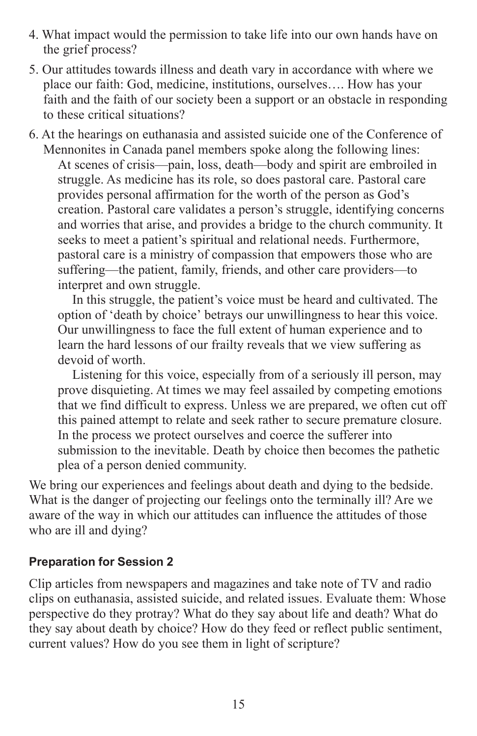- 4. What impact would the permission to take life into our own hands have on the grief process?
- 5. Our attitudes towards illness and death vary in accordance with where we place our faith: God, medicine, institutions, ourselves…. How has your faith and the faith of our society been a support or an obstacle in responding to these critical situations?
- 6. At the hearings on euthanasia and assisted suicide one of the Conference of Mennonites in Canada panel members spoke along the following lines: At scenes of crisis—pain, loss, death—body and spirit are embroiled in struggle. As medicine has its role, so does pastoral care. Pastoral care provides personal affirmation for the worth of the person as God's creation. Pastoral care validates a person's struggle, identifying concerns and worries that arise, and provides a bridge to the church community. It seeks to meet a patient's spiritual and relational needs. Furthermore, pastoral care is a ministry of compassion that empowers those who are suffering—the patient, family, friends, and other care providers—to interpret and own struggle.

In this struggle, the patient's voice must be heard and cultivated. The option of 'death by choice' betrays our unwillingness to hear this voice. Our unwillingness to face the full extent of human experience and to learn the hard lessons of our frailty reveals that we view suffering as devoid of worth.

Listening for this voice, especially from of a seriously ill person, may prove disquieting. At times we may feel assailed by competing emotions that we find difficult to express. Unless we are prepared, we often cut off this pained attempt to relate and seek rather to secure premature closure. In the process we protect ourselves and coerce the sufferer into submission to the inevitable. Death by choice then becomes the pathetic plea of a person denied community.

We bring our experiences and feelings about death and dying to the bedside. What is the danger of projecting our feelings onto the terminally ill? Are we aware of the way in which our attitudes can influence the attitudes of those who are ill and dying?

#### **Preparation for Session 2**

Clip articles from newspapers and magazines and take note of TV and radio clips on euthanasia, assisted suicide, and related issues. Evaluate them: Whose perspective do they protray? What do they say about life and death? What do they say about death by choice? How do they feed or reflect public sentiment, current values? How do you see them in light of scripture?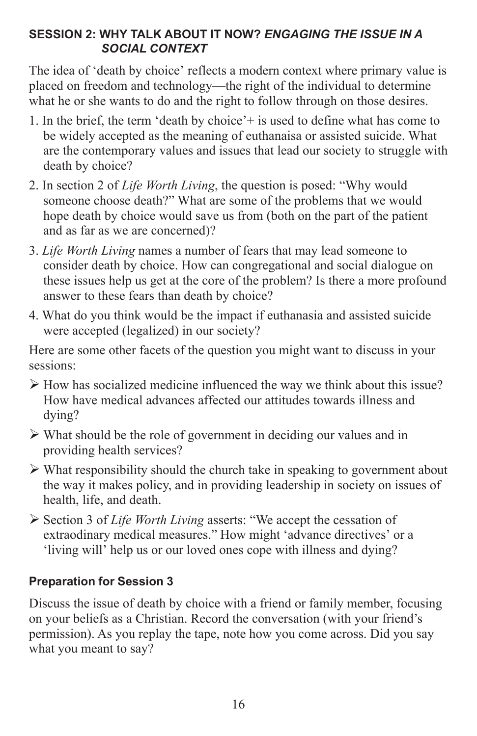### **SESSION 2: WHY TALK ABOUT IT NOW?** *ENGAGING THE ISSUE IN A SOCIAL CONTEXT*

The idea of 'death by choice' reflects a modern context where primary value is placed on freedom and technology—the right of the individual to determine what he or she wants to do and the right to follow through on those desires.

- 1. In the brief, the term 'death by choice'+ is used to define what has come to be widely accepted as the meaning of euthanaisa or assisted suicide. What are the contemporary values and issues that lead our society to struggle with death by choice?
- 2. In section 2 of *Life Worth Living*, the question is posed: "Why would someone choose death?" What are some of the problems that we would hope death by choice would save us from (both on the part of the patient and as far as we are concerned)?
- 3. *Life Worth Living* names a number of fears that may lead someone to consider death by choice. How can congregational and social dialogue on these issues help us get at the core of the problem? Is there a more profound answer to these fears than death by choice?
- 4. What do you think would be the impact if euthanasia and assisted suicide were accepted (legalized) in our society?

Here are some other facets of the question you might want to discuss in your sessions:

- $\triangleright$  How has socialized medicine influenced the way we think about this issue? How have medical advances affected our attitudes towards illness and dying?
- $\triangleright$  What should be the role of government in deciding our values and in providing health services?
- $\triangleright$  What responsibility should the church take in speaking to government about the way it makes policy, and in providing leadership in society on issues of health, life, and death.
- ¾ Section 3 of *Life Worth Living* asserts: "We accept the cessation of extraodinary medical measures." How might 'advance directives' or a 'living will' help us or our loved ones cope with illness and dying?

### **Preparation for Session 3**

Discuss the issue of death by choice with a friend or family member, focusing on your beliefs as a Christian. Record the conversation (with your friend's permission). As you replay the tape, note how you come across. Did you say what you meant to say?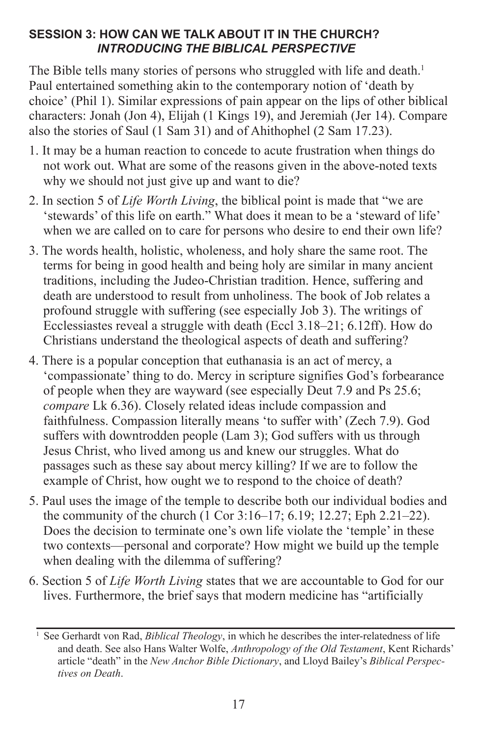### **SESSION 3: HOW CAN WE TALK ABOUT IT IN THE CHURCH?** *INTRODUCING THE BIBLICAL PERSPECTIVE*

The Bible tells many stories of persons who struggled with life and death.<sup>1</sup> Paul entertained something akin to the contemporary notion of 'death by choice' (Phil 1). Similar expressions of pain appear on the lips of other biblical characters: Jonah (Jon 4), Elijah (1 Kings 19), and Jeremiah (Jer 14). Compare also the stories of Saul (1 Sam 31) and of Ahithophel (2 Sam 17.23).

- 1. It may be a human reaction to concede to acute frustration when things do not work out. What are some of the reasons given in the above-noted texts why we should not just give up and want to die?
- 2. In section 5 of *Life Worth Living*, the biblical point is made that "we are 'stewards' of this life on earth." What does it mean to be a 'steward of life' when we are called on to care for persons who desire to end their own life?
- 3. The words health, holistic, wholeness, and holy share the same root. The terms for being in good health and being holy are similar in many ancient traditions, including the Judeo-Christian tradition. Hence, suffering and death are understood to result from unholiness. The book of Job relates a profound struggle with suffering (see especially Job 3). The writings of Ecclessiastes reveal a struggle with death (Eccl 3.18–21; 6.12ff). How do Christians understand the theological aspects of death and suffering?
- 4. There is a popular conception that euthanasia is an act of mercy, a 'compassionate' thing to do. Mercy in scripture signifies God's forbearance of people when they are wayward (see especially Deut 7.9 and Ps 25.6; *compare* Lk 6.36). Closely related ideas include compassion and faithfulness. Compassion literally means 'to suffer with' (Zech 7.9). God suffers with downtrodden people (Lam 3); God suffers with us through Jesus Christ, who lived among us and knew our struggles. What do passages such as these say about mercy killing? If we are to follow the example of Christ, how ought we to respond to the choice of death?
- 5. Paul uses the image of the temple to describe both our individual bodies and the community of the church (1 Cor 3:16–17; 6.19; 12.27; Eph 2.21–22). Does the decision to terminate one's own life violate the 'temple' in these two contexts—personal and corporate? How might we build up the temple when dealing with the dilemma of suffering?
- 6. Section 5 of *Life Worth Living* states that we are accountable to God for our lives. Furthermore, the brief says that modern medicine has "artificially

<sup>1</sup> See Gerhardt von Rad, *Biblical Theology*, in which he describes the inter-relatedness of life and death. See also Hans Walter Wolfe, *Anthropology of the Old Testament*, Kent Richards' article "death" in the *New Anchor Bible Dictionary*, and Lloyd Bailey's *Biblical Perspectives on Death*.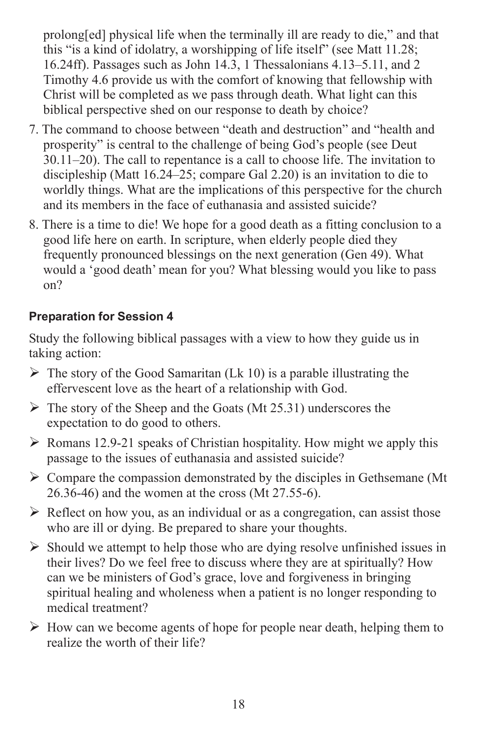prolong[ed] physical life when the terminally ill are ready to die," and that this "is a kind of idolatry, a worshipping of life itself" (see Matt 11.28; 16.24ff). Passages such as John 14.3, 1 Thessalonians 4.13–5.11, and 2 Timothy 4.6 provide us with the comfort of knowing that fellowship with Christ will be completed as we pass through death. What light can this biblical perspective shed on our response to death by choice?

- 7. The command to choose between "death and destruction" and "health and prosperity" is central to the challenge of being God's people (see Deut 30.11–20). The call to repentance is a call to choose life. The invitation to discipleship (Matt 16.24–25; compare Gal 2.20) is an invitation to die to worldly things. What are the implications of this perspective for the church and its members in the face of euthanasia and assisted suicide?
- 8. There is a time to die! We hope for a good death as a fitting conclusion to a good life here on earth. In scripture, when elderly people died they frequently pronounced blessings on the next generation (Gen 49). What would a 'good death' mean for you? What blessing would you like to pass on?

### **Preparation for Session 4**

Study the following biblical passages with a view to how they guide us in taking action:

- $\triangleright$  The story of the Good Samaritan (Lk 10) is a parable illustrating the effervescent love as the heart of a relationship with God.
- $\triangleright$  The story of the Sheep and the Goats (Mt 25.31) underscores the expectation to do good to others.
- $\triangleright$  Romans 12.9-21 speaks of Christian hospitality. How might we apply this passage to the issues of euthanasia and assisted suicide?
- $\triangleright$  Compare the compassion demonstrated by the disciples in Gethsemane (Mt 26.36-46) and the women at the cross (Mt 27.55-6).
- $\triangleright$  Reflect on how you, as an individual or as a congregation, can assist those who are ill or dying. Be prepared to share your thoughts.
- $\triangleright$  Should we attempt to help those who are dying resolve unfinished issues in their lives? Do we feel free to discuss where they are at spiritually? How can we be ministers of God's grace, love and forgiveness in bringing spiritual healing and wholeness when a patient is no longer responding to medical treatment?
- $\triangleright$  How can we become agents of hope for people near death, helping them to realize the worth of their life?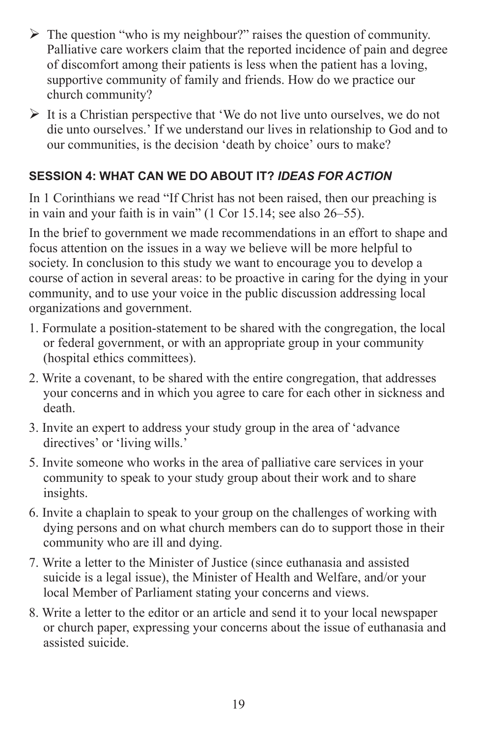- $\triangleright$  The question "who is my neighbour?" raises the question of community. Palliative care workers claim that the reported incidence of pain and degree of discomfort among their patients is less when the patient has a loving, supportive community of family and friends. How do we practice our church community?
- $\triangleright$  It is a Christian perspective that 'We do not live unto ourselves, we do not die unto ourselves.' If we understand our lives in relationship to God and to our communities, is the decision 'death by choice' ours to make?

### **SESSION 4: WHAT CAN WE DO ABOUT IT?** *IDEAS FOR ACTION*

In 1 Corinthians we read "If Christ has not been raised, then our preaching is in vain and your faith is in vain" (1 Cor 15.14; see also 26–55).

In the brief to government we made recommendations in an effort to shape and focus attention on the issues in a way we believe will be more helpful to society. In conclusion to this study we want to encourage you to develop a course of action in several areas: to be proactive in caring for the dying in your community, and to use your voice in the public discussion addressing local organizations and government.

- 1. Formulate a position-statement to be shared with the congregation, the local or federal government, or with an appropriate group in your community (hospital ethics committees).
- 2. Write a covenant, to be shared with the entire congregation, that addresses your concerns and in which you agree to care for each other in sickness and death.
- 3. Invite an expert to address your study group in the area of 'advance directives' or 'living wills.'
- 5. Invite someone who works in the area of palliative care services in your community to speak to your study group about their work and to share insights.
- 6. Invite a chaplain to speak to your group on the challenges of working with dying persons and on what church members can do to support those in their community who are ill and dying.
- 7. Write a letter to the Minister of Justice (since euthanasia and assisted suicide is a legal issue), the Minister of Health and Welfare, and/or your local Member of Parliament stating your concerns and views.
- 8. Write a letter to the editor or an article and send it to your local newspaper or church paper, expressing your concerns about the issue of euthanasia and assisted suicide.